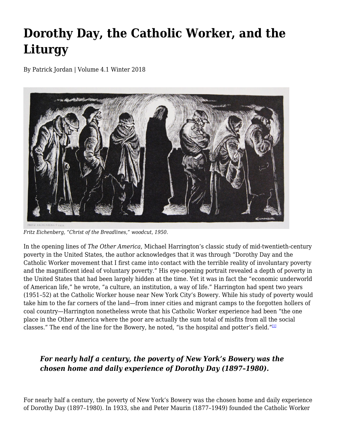## **Dorothy Day, the Catholic Worker, and the Liturgy**

By Patrick Jordan | Volume 4.1 Winter 2018



*Fritz Eichenberg, "Christ of the Breadlines," woodcut, 1950.*

In the opening lines of *The Other America*, Michael Harrington's classic study of mid-twentieth-century poverty in the United States, the author acknowledges that it was through "Dorothy Day and the Catholic Worker movement that I first came into contact with the terrible reality of involuntary poverty and the magnificent ideal of voluntary poverty." His eye-opening portrait revealed a depth of poverty in the United States that had been largely hidden at the time. Yet it was in fact the "economic underworld of American life," he wrote, "a culture, an institution, a way of life." Harrington had spent two years (1951–52) at the Catholic Worker house near New York City's Bowery. While his study of poverty would take him to the far corners of the land—from inner cities and migrant camps to the forgotten hollers of coal country—Harrington nonetheless wrote that his Catholic Worker experience had been "the one place in the Other America where the poor are actually the sum total of misfits from all the social classes." The end of the line for the Bowery, he noted, "is the hospital and potter's field."[1]

## *For nearly half a century, the poverty of New York's Bowery was the chosen home and daily experience of Dorothy Day (1897–1980).*

For nearly half a century, the poverty of New York's Bowery was the chosen home and daily experience of Dorothy Day (1897–1980). In 1933, she and Peter Maurin (1877–1949) founded the Catholic Worker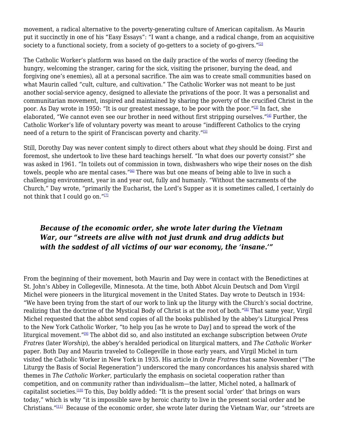movement, a radical alternative to the poverty-generating culture of American capitalism. As Maurin put it succinctly in one of his "Easy Essays": "I want a change, and a radical change, from an acquisitive society to a functional society, from a society of go-getters to a society of go-givers." $[2]$ 

The Catholic Worker's platform was based on the daily practice of the works of mercy (feeding the hungry, welcoming the stranger, caring for the sick, visiting the prisoner, burying the dead, and forgiving one's enemies), all at a personal sacrifice. The aim was to create small communities based on what Maurin called "cult, culture, and cultivation." The Catholic Worker was not meant to be just another social-service agency, designed to alleviate the privations of the poor. It was a personalist and communitarian movement, inspired and maintained by sharing the poverty of the crucified Christ in the poor. As Day wrote in 1950: "It is our greatest message, to be poor with the poor."<sup>[3]</sup> In fact, she elaborated. "We cannot even see our brother in need without first stripping ourselves." $[4]$  Further, the Catholic Worker's life of voluntary poverty was meant to arouse "indifferent Catholics to the crying need of a return to the spirit of Franciscan poverty and charity."<sup>[5]</sup>

Still, Dorothy Day was never content simply to direct others about what *they* should be doing. First and foremost, she undertook to live these hard teachings herself. "In what does our poverty consist?" she was asked in 1961. "In toilets out of commission in town, dishwashers who wipe their noses on the dish towels, people who are mental cases."<sup>[6]</sup> There was but one means of being able to live in such a challenging environment, year in and year out, fully and humanly. "Without the sacraments of the Church," Day wrote, "primarily the Eucharist, the Lord's Supper as it is sometimes called, I certainly do not think that I could go on." $[2]$ 

## *Because of the economic order, she wrote later during the Vietnam War, our "streets are alive with not just drunk and drug addicts but with the saddest of all victims of our war economy, the 'insane.'"*

From the beginning of their movement, both Maurin and Day were in contact with the Benedictines at St. John's Abbey in Collegeville, Minnesota. At the time, both Abbot Alcuin Deutsch and Dom Virgil Michel were pioneers in the liturgical movement in the United States. Day wrote to Deutsch in 1934: "We have been trying from the start of our work to link up the liturgy with the Church's social doctrine, realizing that the doctrine of the Mystical Body of Christ is at the root of both."<sup>[8]</sup> That same year, Virgil Michel requested that the abbot send copies of all the books published by the abbey's Liturgical Press to the New York Catholic Worker, "to help you [as he wrote to Day] and to spread the work of the liturgical movement."[9] The abbot did so, and also instituted an exchange subscription between *Orate Fratres* (later *Worship*), the abbey's heralded periodical on liturgical matters, and *The Catholic Worker* paper. Both Day and Maurin traveled to Collegeville in those early years, and Virgil Michel in turn visited the Catholic Worker in New York in 1935. His article in *Orate Fratres* that same November ("The Liturgy the Basis of Social Regeneration") underscored the many concordances his analysis shared with themes in *The Catholic Worker*, particularly the emphasis on societal cooperation rather than competition, and on community rather than individualism—the latter, Michel noted, a hallmark of capitalist societies.<sup>[10]</sup> To this, Day boldly added: "It is the present social 'order' that brings on wars today," which is why "it is impossible save by heroic charity to live in the present social order and be Christians."[11] Because of the economic order, she wrote later during the Vietnam War, our "streets are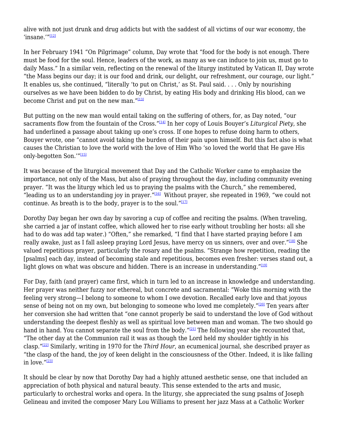alive with not just drunk and drug addicts but with the saddest of all victims of our war economy, the 'insane. $^{\prime\prime\prime}$ [12]

In her February 1941 "On Pilgrimage" column, Day wrote that "food for the body is not enough. There must be food for the soul. Hence, leaders of the work, as many as we can induce to join us, must go to daily Mass." In a similar vein, reflecting on the renewal of the liturgy instituted by Vatican II, Day wrote "the Mass begins our day; it is our food and drink, our delight, our refreshment, our courage, our light." It enables us, she continued, "literally 'to put on Christ,' as St. Paul said. . . . Only by nourishing ourselves as we have been bidden to do by Christ, by eating His body and drinking His blood, can we become Christ and put on the new man."[13]

But putting on the new man would entail taking on the suffering of others, for, as Day noted, "our sacraments flow from the fountain of the Cross."[14] In her copy of Louis Bouyer's *Liturgical Piety*, she had underlined a passage about taking up one's cross. If one hopes to refuse doing harm to others, Bouyer wrote, one "cannot avoid taking the burden of their pain upon himself. But this fact also is what causes the Christian to love the world with the love of Him Who 'so loved the world that He gave His only-begotten Son."[15]

It was because of the liturgical movement that Day and the Catholic Worker came to emphasize the importance, not only of the Mass, but also of praying throughout the day, including community evening prayer. "It was the liturgy which led us to praying the psalms with the Church," she remembered, "leading us to an understanding joy in prayer."<sup>[16]</sup> Without prayer, she repeated in 1969, "we could not continue. As breath is to the body, prayer is to the soul." $[17]$ 

Dorothy Day began her own day by savoring a cup of coffee and reciting the psalms. (When traveling, she carried a jar of instant coffee, which allowed her to rise early without troubling her hosts: all she had to do was add tap water.) "Often," she remarked, "I find that I have started praying before I am really awake, just as I fall asleep praying Lord Jesus, have mercy on us sinners, over and over."<sup>[18]</sup> She valued repetitious prayer, particularly the rosary and the psalms. "Strange how repetition, reading the [psalms] each day, instead of becoming stale and repetitious, becomes even fresher: verses stand out, a light glows on what was obscure and hidden. There is an increase in understanding." $[19]$ 

For Day, faith (and prayer) came first, which in turn led to an increase in knowledge and understanding. Her prayer was neither fuzzy nor ethereal, but concrete and sacramental: "Woke this morning with the feeling very strong—I belong to someone to whom I owe devotion. Recalled early love and that joyous sense of being not on my own, but belonging to someone who loved me completely."<sup>[20]</sup> Ten years after her conversion she had written that "one cannot properly be said to understand the love of God without understanding the deepest fleshly as well as spiritual love between man and woman. The two should go hand in hand. You cannot separate the soul from the body."[\[21\]](#page-5-0) The following year she recounted that, "The other day at the Communion rail it was as though the Lord held my shoulder tightly in his clasp."[\[22\]](#page-5-1) Similarly, writing in 1970 for the *Third Hour*, an ecumenical journal, she described prayer as "the clasp of the hand, the joy of keen delight in the consciousness of the Other. Indeed, it is like falling in love."[\[23\]](#page-5-2)

<span id="page-2-2"></span><span id="page-2-1"></span><span id="page-2-0"></span>It should be clear by now that Dorothy Day had a highly attuned aesthetic sense, one that included an appreciation of both physical and natural beauty. This sense extended to the arts and music, particularly to orchestral works and opera. In the liturgy, she appreciated the sung psalms of Joseph Gelineau and invited the composer Mary Lou Williams to present her jazz Mass at a Catholic Worker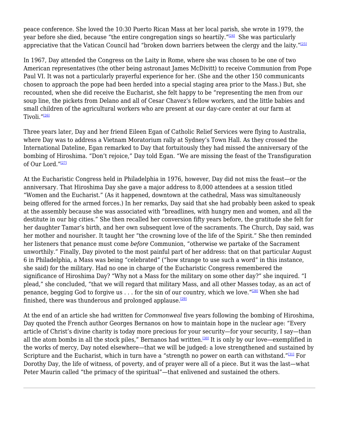<span id="page-3-0"></span>peace conference. She loved the 10:30 Puerto Rican Mass at her local parish, she wrote in 1979, the year before she died, because "the entire congregation sings so heartily." $[24]$  She was particularly appreciative that the Vatican Council had "broken down barriers between the clergy and the laity." $[25]$ 

<span id="page-3-1"></span>In 1967, Day attended the Congress on the Laity in Rome, where she was chosen to be one of two American representatives (the other being astronaut James McDivitt) to receive Communion from Pope Paul VI. It was not a particularly prayerful experience for her. (She and the other 150 communicants chosen to approach the pope had been herded into a special staging area prior to the Mass.) But, she recounted, when she did receive the Eucharist, she felt happy to be "representing the men from our soup line, the pickets from Delano and all of Cesar Chavez's fellow workers, and the little babies and small children of the agricultural workers who are present at our day-care center at our farm at Tivoli."<sup>[\[26\]](#page-5-5)</sup>

<span id="page-3-2"></span>Three years later, Day and her friend Eileen Egan of Catholic Relief Services were flying to Australia, where Day was to address a Vietnam Moratorium rally at Sydney's Town Hall. As they crossed the International Dateline, Egan remarked to Day that fortuitously they had missed the anniversary of the bombing of Hiroshima. "Don't rejoice," Day told Egan. "We are missing the feast of the Transfiguration of Our Lord."[\[27\]](#page-5-6)

<span id="page-3-3"></span>At the Eucharistic Congress held in Philadelphia in 1976, however, Day did not miss the feast—or the anniversary. That Hiroshima Day she gave a major address to 8,000 attendees at a session titled "Women and the Eucharist." (As it happened, downtown at the cathedral, Mass was simultaneously being offered for the armed forces.) In her remarks, Day said that she had probably been asked to speak at the assembly because she was associated with "breadlines, with hungry men and women, and all the destitute in our big cities." She then recalled her conversion fifty years before, the gratitude she felt for her daughter Tamar's birth, and her own subsequent love of the sacraments. The Church, Day said, was her mother and nourisher. It taught her "the crowning love of the life of the Spirit." She then reminded her listeners that penance must come *before* Communion, "otherwise we partake of the Sacrament unworthily." Finally, Day pivoted to the most painful part of her address: that on that particular August 6 in Philadelphia, a Mass was being "celebrated" ("how strange to use such a word" in this instance, she said) for the military. Had no one in charge of the Eucharistic Congress remembered the significance of Hiroshima Day? "Why not a Mass for the military on some other day?" she inquired. "I plead," she concluded, "that we will regard that military Mass, and all other Masses today, as an act of penance, begging God to forgive us . . . for the sin of our country, which we love."<sup>[\[28\]](#page-5-7)</sup> When she had finished, there was thunderous and prolonged applause.<sup>[\[29\]](#page-5-8)</sup>

<span id="page-3-7"></span><span id="page-3-6"></span><span id="page-3-5"></span><span id="page-3-4"></span>At the end of an article she had written for *Commonweal* five years following the bombing of Hiroshima, Day quoted the French author Georges Bernanos on how to maintain hope in the nuclear age: "Every article of Christ's divine charity is today more precious for your security—for your security, I say—than all the atom bombs in all the stock piles," Bernanos had written.<sup>[\[30\]](#page-5-9)</sup> It is only by our love—exemplified in the works of mercy, Day noted elsewhere—that we will be judged: a love strengthened and sustained by Scripture and the Eucharist, which in turn have a "strength no power on earth can withstand."<sup>[\[31\]](#page-5-10)</sup> For Dorothy Day, the life of witness, of poverty, and of prayer were all of a piece. But it was the last—what Peter Maurin called "the primacy of the spiritual"—that enlivened and sustained the others.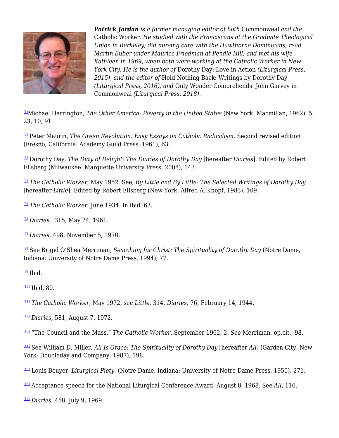

*Patrick Jordan is a former managing editor of both* Commonweal *and the* Catholic Worker*. He studied with the Franciscans at the Graduate Theological Union in Berkeley; did nursing care with the Hawthorne Dominicans; read Martin Buber under Maurice Friedman at Pendle Hill; and met his wife Kathleen in 1969, when both were working at the Catholic Worker in New York City. He is the author of* Dorothy Day: Love in Action *(Liturgical Press, 2015), and the editor of* Hold Nothing Back: Writings by Dorothy Day *(Liturgical Press, 2016), and* Only Wonder Comprehends: John Garvey in Commonweal *(Liturgical Press, 2018).*

[1]Michael Harrington, *The Other America: Poverty in the United States* (New York: Macmillan, 1962), 5, 23, 10, 91.

[2] Peter Maurin, *The Green Revolution: Easy Essays on Catholic Radicalism.* Second revised edition (Fresno, California: Academy Guild Press, 1961), 63.

[3] Dorothy Day*, The Duty of Delight: The Diaries of Dorothy Day* [hereafter *Diaries*]. Edited by Robert Ellsberg (Milwaukee: Marquette University Press, 2008), 143.

[4] *The Catholic Worker*, May 1952. See, *By Little and By Little: The Selected Writings of Dorothy Day* [hereafter *Little*]. Edited by Robert Ellsberg (New York: Alfred A. Knopf, 1983), 109.

[5] *The Catholic Worker*, June 1934. In ibid, 63.

[6] *Diaries*, 315, May 24, 1961.

[7] *Diaries*, 498, November 5, 1970.

<sup>[8]</sup> See Brigid O'Shea Merriman, Searching for Christ: The Spirituality of Dorothy Day (Notre Dame, Indiana: University of Notre Dame Press, 1994), 77.

 $[9]$  Ibid.

 $\frac{100}{100}$  Ibid, 80.

[11] *The Catholic Worker*, May 1972, see *Little*, 314. *Diaries*, 76, February 14, 1944.

[12] *Diaries,* 581, August 7, 1972.

[13] "The Council and the Mass," *The Catholic Worker*, September 1962, 2*. See* Merriman, op.cit.*,* 98.

[14] See William D. Miller, *All Is Grace: The Spirituality of Dorothy Day* [hereafter *All*] (Garden City, New York: Doubleday and Company, 1987), 198.

[15] Louis Bouyer*, Liturgical Piety*. (Notre Dame, Indiana: University of Notre Dame Press, 1955), 271.

[16] Acceptance speech for the National Liturgical Conference Award, August 8, 1968. See *All*, 116.

[17] *Diaries*, 458, July 9, 1969.